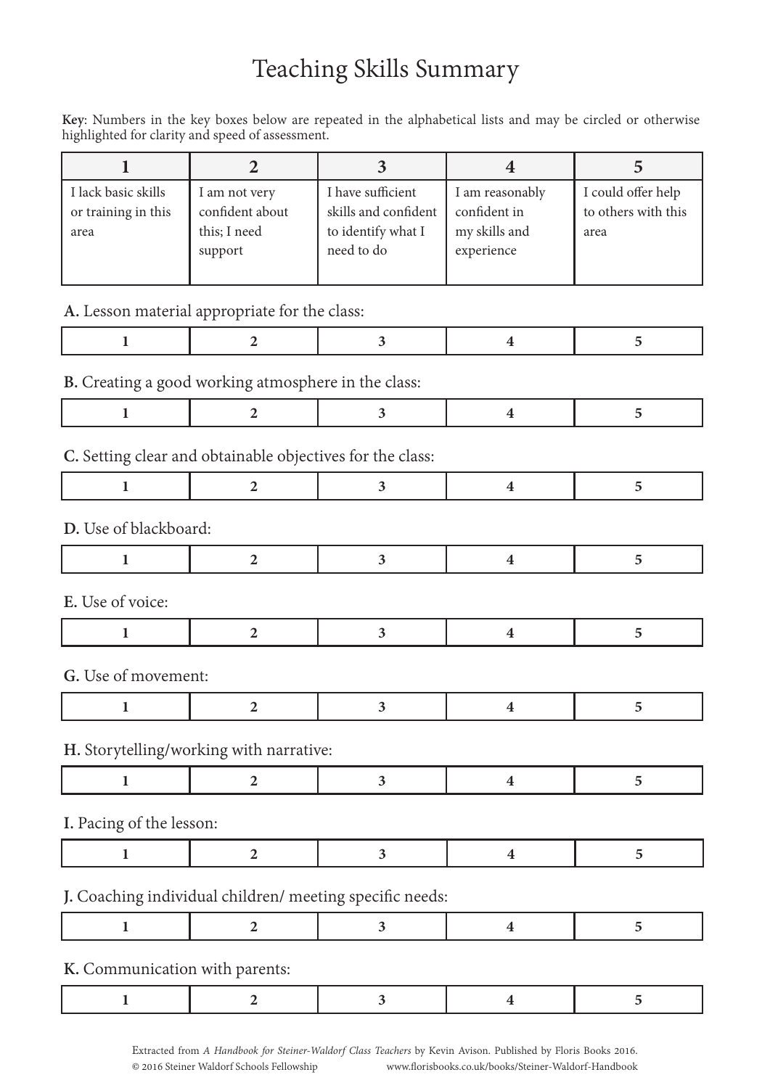# Teaching Skills Summary

**Key**: Numbers in the key boxes below are repeated in the alphabetical lists and may be circled or otherwise highlighted for clarity and speed of assessment.

| I lack basic skills<br>or training in this<br>area | I am not very<br>confident about<br>this; I need<br>support | I have sufficient<br>skills and confident<br>to identify what I<br>need to do | I am reasonably<br>confident in<br>my skills and<br>experience | I could offer help<br>to others with this<br>area |
|----------------------------------------------------|-------------------------------------------------------------|-------------------------------------------------------------------------------|----------------------------------------------------------------|---------------------------------------------------|

#### **A.** Lesson material appropriate for the class:

|--|

### **B.** Creating a good working atmosphere in the class:

|--|

### **C.** Setting clear and obtainable objectives for the class:

| D. Use of blackboard: |  |  |  |  |  |
|-----------------------|--|--|--|--|--|
|                       |  |  |  |  |  |
| E. Use of voice:      |  |  |  |  |  |
|                       |  |  |  |  |  |
| G. Use of movement:   |  |  |  |  |  |
|                       |  |  |  |  |  |

#### **H.** Storytelling/working with narrative:

|--|

**I.** Pacing of the lesson:

|--|--|

## **J.** Coaching individual children/ meeting specific needs:

|--|

#### **K.** Communication with parents: